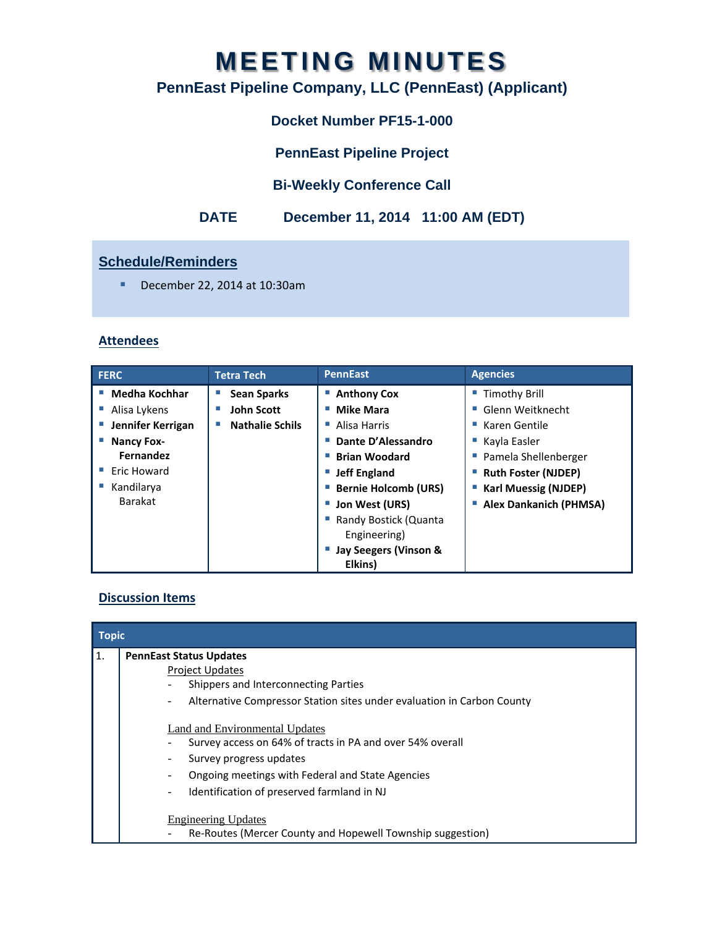# **MEETING MINUTES**

# **PennEast Pipeline Company, LLC (PennEast) (Applicant)**

# **Docket Number PF15-1-000**

**PennEast Pipeline Project** 

## **Bi-Weekly Conference Call**

## **DATE December 11, 2014 11:00 AM (EDT)**

## **Schedule/Reminders**

December 22, 2014 at 10:30am

#### **Attendees**

| <b>FERC</b>             | <b>Tetra Tech</b>      | <b>PennEast</b>                       | <b>Agencies</b>               |
|-------------------------|------------------------|---------------------------------------|-------------------------------|
| Medha Kochhar<br>$\sim$ | <b>Sean Sparks</b>     | <b>Anthony Cox</b>                    | <b>Timothy Brill</b>          |
| Alisa Lykens            | <b>John Scott</b>      | <b>Mike Mara</b>                      | Glenn Weitknecht              |
| Jennifer Kerrigan       | <b>Nathalie Schils</b> | Alisa Harris                          | Karen Gentile                 |
| <b>Nancy Fox-</b>       |                        | Dante D'Alessandro                    | Kayla Easler                  |
| Fernandez               |                        | <b>Brian Woodard</b><br>m.            | Pamela Shellenberger          |
| Eric Howard             |                        | <b>Jeff England</b><br>m.             | <b>Ruth Foster (NJDEP)</b>    |
| Kandilarya              |                        | <b>Bernie Holcomb (URS)</b>           | <b>Karl Muessig (NJDEP)</b>   |
| <b>Barakat</b>          |                        | Jon West (URS)                        | <b>Alex Dankanich (PHMSA)</b> |
|                         |                        | Randy Bostick (Quanta<br>Engineering) |                               |
|                         |                        | Jay Seegers (Vinson &                 |                               |
|                         |                        | Elkins)                               |                               |

#### **Discussion Items**

| <b>Topic</b> |                                                                                                    |  |  |
|--------------|----------------------------------------------------------------------------------------------------|--|--|
| 11.          | <b>PennEast Status Updates</b>                                                                     |  |  |
|              | <b>Project Updates</b>                                                                             |  |  |
|              | Shippers and Interconnecting Parties                                                               |  |  |
|              | Alternative Compressor Station sites under evaluation in Carbon County<br>$\overline{\phantom{a}}$ |  |  |
|              | <b>Land and Environmental Updates</b>                                                              |  |  |
|              | Survey access on 64% of tracts in PA and over 54% overall                                          |  |  |
|              | Survey progress updates                                                                            |  |  |
|              | Ongoing meetings with Federal and State Agencies                                                   |  |  |
|              | Identification of preserved farmland in NJ                                                         |  |  |
|              | <b>Engineering Updates</b>                                                                         |  |  |
|              | Re-Routes (Mercer County and Hopewell Township suggestion)                                         |  |  |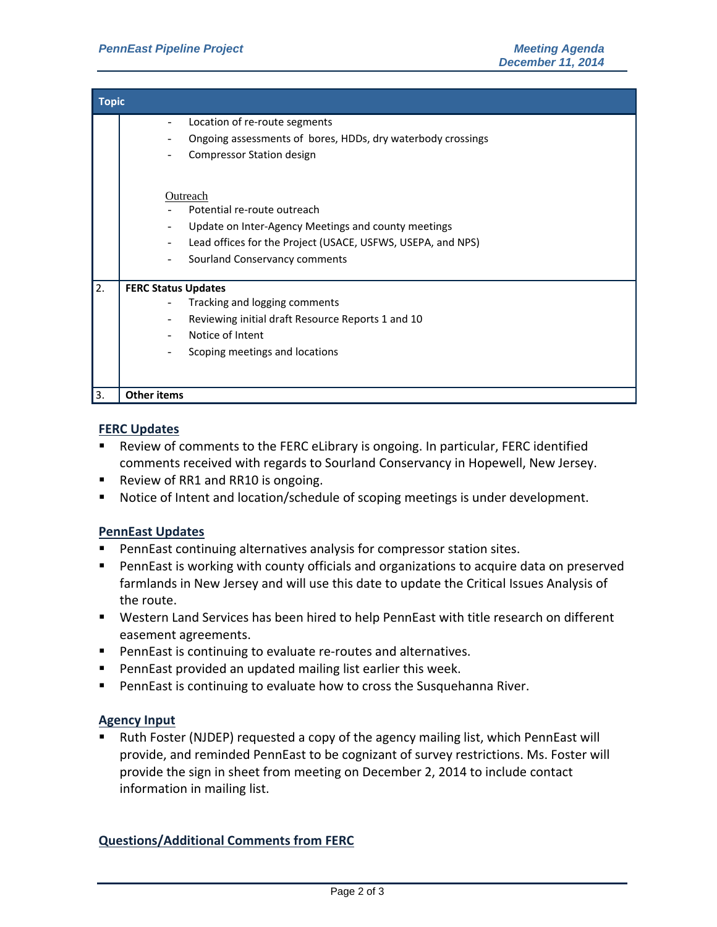| <b>Topic</b> |                                                             |  |  |  |
|--------------|-------------------------------------------------------------|--|--|--|
|              | Location of re-route segments<br>۰                          |  |  |  |
|              | Ongoing assessments of bores, HDDs, dry waterbody crossings |  |  |  |
|              | <b>Compressor Station design</b>                            |  |  |  |
|              |                                                             |  |  |  |
|              | Outreach                                                    |  |  |  |
|              | Potential re-route outreach                                 |  |  |  |
|              | Update on Inter-Agency Meetings and county meetings         |  |  |  |
|              | Lead offices for the Project (USACE, USFWS, USEPA, and NPS) |  |  |  |
|              | Sourland Conservancy comments                               |  |  |  |
| 2.           | <b>FERC Status Updates</b>                                  |  |  |  |
|              | Tracking and logging comments                               |  |  |  |
|              | Reviewing initial draft Resource Reports 1 and 10           |  |  |  |
|              | Notice of Intent                                            |  |  |  |
|              | Scoping meetings and locations                              |  |  |  |
|              |                                                             |  |  |  |
| 3.           | <b>Other items</b>                                          |  |  |  |

#### **FERC Updates**

- Review of comments to the FERC eLibrary is ongoing. In particular, FERC identified comments received with regards to Sourland Conservancy in Hopewell, New Jersey.
- Review of RR1 and RR10 is ongoing.
- Notice of Intent and location/schedule of scoping meetings is under development.

#### **PennEast Updates**

- PennEast continuing alternatives analysis for compressor station sites.
- PennEast is working with county officials and organizations to acquire data on preserved farmlands in New Jersey and will use this date to update the Critical Issues Analysis of the route.
- Western Land Services has been hired to help PennEast with title research on different easement agreements.
- PennEast is continuing to evaluate re-routes and alternatives.
- **PennEast provided an updated mailing list earlier this week.**
- PennEast is continuing to evaluate how to cross the Susquehanna River.

#### **Agency Input**

 Ruth Foster (NJDEP) requested a copy of the agency mailing list, which PennEast will provide, and reminded PennEast to be cognizant of survey restrictions. Ms. Foster will provide the sign in sheet from meeting on December 2, 2014 to include contact information in mailing list.

#### **Questions/Additional Comments from FERC**